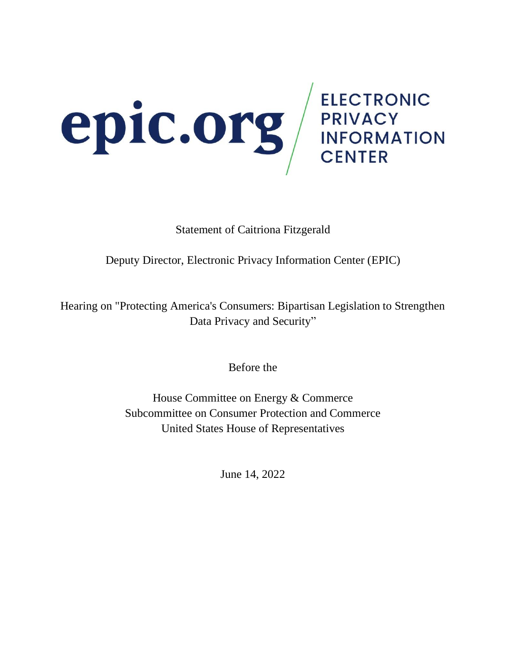

Statement of Caitriona Fitzgerald

Deputy Director, Electronic Privacy Information Center (EPIC)

Hearing on "Protecting America's Consumers: Bipartisan Legislation to Strengthen Data Privacy and Security"

Before the

House Committee on Energy & Commerce Subcommittee on Consumer Protection and Commerce United States House of Representatives

June 14, 2022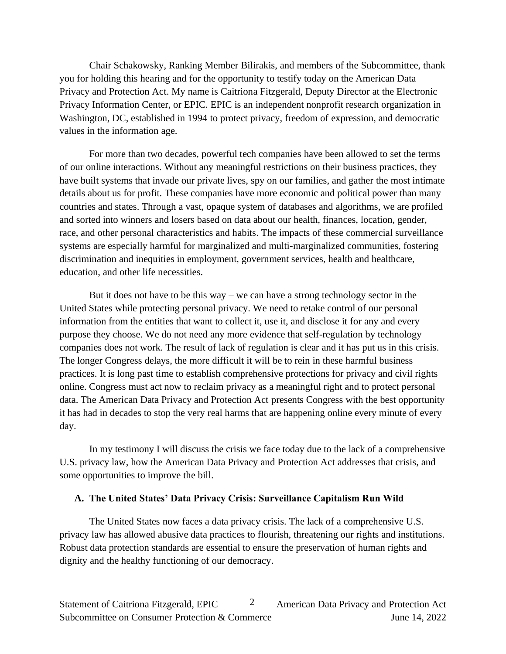Chair Schakowsky, Ranking Member Bilirakis, and members of the Subcommittee, thank you for holding this hearing and for the opportunity to testify today on the American Data Privacy and Protection Act. My name is Caitriona Fitzgerald, Deputy Director at the Electronic Privacy Information Center, or EPIC. EPIC is an independent nonprofit research organization in Washington, DC, established in 1994 to protect privacy, freedom of expression, and democratic values in the information age.

For more than two decades, powerful tech companies have been allowed to set the terms of our online interactions. Without any meaningful restrictions on their business practices, they have built systems that invade our private lives, spy on our families, and gather the most intimate details about us for profit. These companies have more economic and political power than many countries and states. Through a vast, opaque system of databases and algorithms, we are profiled and sorted into winners and losers based on data about our health, finances, location, gender, race, and other personal characteristics and habits. The impacts of these commercial surveillance systems are especially harmful for marginalized and multi-marginalized communities, fostering discrimination and inequities in employment, government services, health and healthcare, education, and other life necessities.

But it does not have to be this way – we can have a strong technology sector in the United States while protecting personal privacy. We need to retake control of our personal information from the entities that want to collect it, use it, and disclose it for any and every purpose they choose. We do not need any more evidence that self-regulation by technology companies does not work. The result of lack of regulation is clear and it has put us in this crisis. The longer Congress delays, the more difficult it will be to rein in these harmful business practices. It is long past time to establish comprehensive protections for privacy and civil rights online. Congress must act now to reclaim privacy as a meaningful right and to protect personal data. The American Data Privacy and Protection Act presents Congress with the best opportunity it has had in decades to stop the very real harms that are happening online every minute of every day.

In my testimony I will discuss the crisis we face today due to the lack of a comprehensive U.S. privacy law, how the American Data Privacy and Protection Act addresses that crisis, and some opportunities to improve the bill.

#### **A. The United States' Data Privacy Crisis: Surveillance Capitalism Run Wild**

The United States now faces a data privacy crisis. The lack of a comprehensive U.S. privacy law has allowed abusive data practices to flourish, threatening our rights and institutions. Robust data protection standards are essential to ensure the preservation of human rights and dignity and the healthy functioning of our democracy.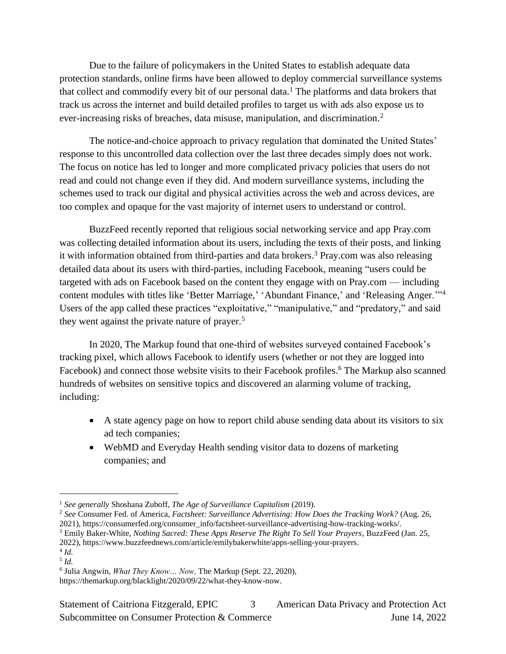Due to the failure of policymakers in the United States to establish adequate data protection standards, online firms have been allowed to deploy commercial surveillance systems that collect and commodify every bit of our personal data.<sup>1</sup> The platforms and data brokers that track us across the internet and build detailed profiles to target us with ads also expose us to ever-increasing risks of breaches, data misuse, manipulation, and discrimination. 2

The notice-and-choice approach to privacy regulation that dominated the United States' response to this uncontrolled data collection over the last three decades simply does not work. The focus on notice has led to longer and more complicated privacy policies that users do not read and could not change even if they did. And modern surveillance systems, including the schemes used to track our digital and physical activities across the web and across devices, are too complex and opaque for the vast majority of internet users to understand or control.

BuzzFeed recently reported that religious social networking service and app Pray.com was collecting detailed information about its users, including the texts of their posts, and linking it with information obtained from third-parties and data brokers. <sup>3</sup> Pray.com was also releasing detailed data about its users with third-parties, including Facebook, meaning "users could be targeted with ads on Facebook based on the content they engage with on Pray.com — including content modules with titles like 'Better Marriage,' 'Abundant Finance,' and 'Releasing Anger.'"<sup>4</sup> Users of the app called these practices "exploitative," "manipulative," and "predatory," and said they went against the private nature of prayer.<sup>5</sup>

In 2020, The Markup found that one-third of websites surveyed contained Facebook's tracking pixel, which allows Facebook to identify users (whether or not they are logged into Facebook) and connect those website visits to their Facebook profiles.<sup>6</sup> The Markup also scanned hundreds of websites on sensitive topics and discovered an alarming volume of tracking, including:

- A state agency page on how to report child abuse sending data about its visitors to six ad tech companies;
- WebMD and Everyday Health sending visitor data to dozens of marketing companies; and

<sup>3</sup> Emily Baker-White, *Nothing Sacred: These Apps Reserve The Right To Sell Your Prayers*, BuzzFeed (Jan. 25, 2022), [https://www.buzzfeednews.com/article/emilybakerwhite/apps-selling-your-prayers.](https://www.buzzfeednews.com/article/emilybakerwhite/apps-selling-your-prayers)

<sup>1</sup> *See generally* Shoshana Zuboff, *The Age of Surveillance Capitalism* (2019).

<sup>2</sup> *See* Consumer Fed. of America, *Factsheet: Surveillance Advertising: How Does the Tracking Work?* (Aug. 26, 2021), [https://consumerfed.org/consumer\\_info/factsheet-surveillance-advertising-how-tracking-works/.](https://consumerfed.org/consumer_info/factsheet-surveillance-advertising-how-tracking-works/) 

<sup>4</sup> *Id.* 5 *Id.*

<sup>6</sup> Julia Angwin, *What They Know… Now,* The Markup (Sept. 22, 2020), [https://themarkup.org/blacklight/2020/09/22/what-they-know-now.](https://themarkup.org/blacklight/2020/09/22/what-they-know-now)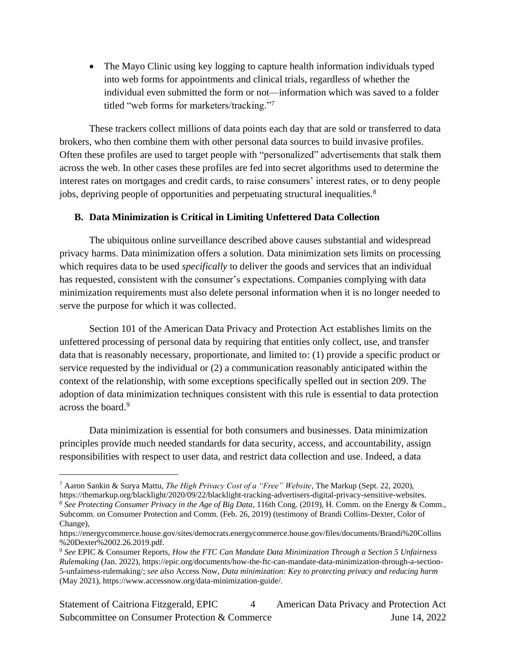• The Mayo Clinic using key logging to capture health information individuals typed into web forms for appointments and clinical trials, regardless of whether the individual even submitted the form or not—information which was saved to a folder titled "web forms for marketers/tracking." 7

These trackers collect millions of data points each day that are sold or transferred to data brokers, who then combine them with other personal data sources to build invasive profiles. Often these profiles are used to target people with "personalized" advertisements that stalk them across the web. In other cases these profiles are fed into secret algorithms used to determine the interest rates on mortgages and credit cards, to raise consumers' interest rates, or to deny people jobs, depriving people of opportunities and perpetuating structural inequalities. 8

## **B. Data Minimization is Critical in Limiting Unfettered Data Collection**

The ubiquitous online surveillance described above causes substantial and widespread privacy harms. Data minimization offers a solution. Data minimization sets limits on processing which requires data to be used *specifically* to deliver the goods and services that an individual has requested, consistent with the consumer's expectations. Companies complying with data minimization requirements must also delete personal information when it is no longer needed to serve the purpose for which it was collected.

Section 101 of the American Data Privacy and Protection Act establishes limits on the unfettered processing of personal data by requiring that entities only collect, use, and transfer data that is reasonably necessary, proportionate, and limited to: (1) provide a specific product or service requested by the individual or (2) a communication reasonably anticipated within the context of the relationship, with some exceptions specifically spelled out in section 209. The adoption of data minimization techniques consistent with this rule is essential to data protection across the board.<sup>9</sup>

Data minimization is essential for both consumers and businesses. Data minimization principles provide much needed standards for data security, access, and accountability, assign responsibilities with respect to user data, and restrict data collection and use. Indeed, a data

<sup>7</sup> Aaron Sankin & Surya Mattu, *The High Privacy Cost of a "Free" Website*, The Markup (Sept. 22, 2020), [https://themarkup.org/blacklight/2020/09/22/blacklight-tracking-advertisers-digital-privacy-sensitive-websites.](https://themarkup.org/blacklight/2020/09/22/blacklight-tracking-advertisers-digital-privacy-sensitive-websites)

<sup>8</sup> *See Protecting Consumer Privacy in the Age of Big Data*, 116th Cong. (2019), H. Comm. on the Energy & Comm., Subcomm. on Consumer Protection and Comm. (Feb. 26, 2019) (testimony of Brandi Collins-Dexter, Color of Change),

[https://energycommerce.house.gov/sites/democrats.energycommerce.house.gov/files/documents/Brandi%20Collins](https://energycommerce.house.gov/sites/democrats.energycommerce.house.gov/files/documents/Brandi%20Collins%20Dexter%2002.26.2019.pdf) [%20Dexter%2002.26.2019.pdf.](https://energycommerce.house.gov/sites/democrats.energycommerce.house.gov/files/documents/Brandi%20Collins%20Dexter%2002.26.2019.pdf)

<sup>9</sup> *See* EPIC & Consumer Reports, *How the FTC Can Mandate Data Minimization Through a Section 5 Unfairness Rulemaking* (Jan. 2022), [https://epic.org/documents/how-the-ftc-can-mandate-data-minimization-through-a-section-](https://epic.org/documents/how-the-ftc-can-mandate-data-minimization-through-a-section-5-unfairness-rulemaking/)[5-unfairness-rulemaking/;](https://epic.org/documents/how-the-ftc-can-mandate-data-minimization-through-a-section-5-unfairness-rulemaking/) *see also* Access Now, *Data minimization: Key to protecting privacy and reducing harm* (May 2021)[, https://www.accessnow.org/data-minimization-guide/.](https://www.accessnow.org/data-minimization-guide/)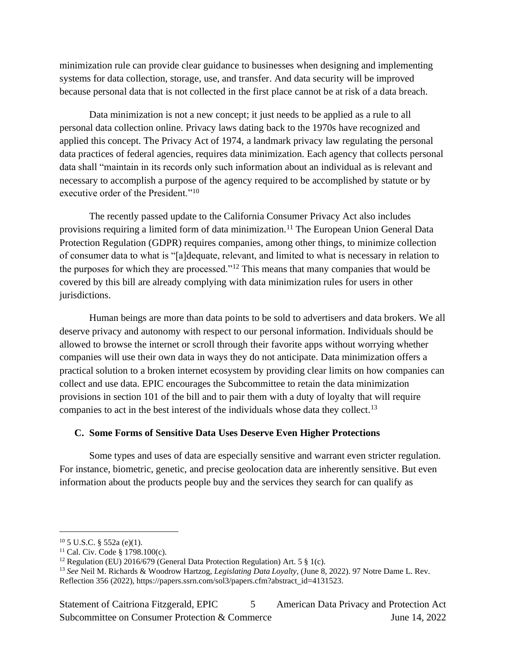minimization rule can provide clear guidance to businesses when designing and implementing systems for data collection, storage, use, and transfer. And data security will be improved because personal data that is not collected in the first place cannot be at risk of a data breach.

Data minimization is not a new concept; it just needs to be applied as a rule to all personal data collection online. Privacy laws dating back to the 1970s have recognized and applied this concept. The Privacy Act of 1974, a landmark privacy law regulating the personal data practices of federal agencies, requires data minimization. Each agency that collects personal data shall "maintain in its records only such information about an individual as is relevant and necessary to accomplish a purpose of the agency required to be accomplished by statute or by executive order of the President."<sup>10</sup>

The recently passed update to the California Consumer Privacy Act also includes provisions requiring a limited form of data minimization.<sup>11</sup> The European Union General Data Protection Regulation (GDPR) requires companies, among other things, to minimize collection of consumer data to what is "[a]dequate, relevant, and limited to what is necessary in relation to the purposes for which they are processed."<sup>12</sup> This means that many companies that would be covered by this bill are already complying with data minimization rules for users in other jurisdictions.

Human beings are more than data points to be sold to advertisers and data brokers. We all deserve privacy and autonomy with respect to our personal information. Individuals should be allowed to browse the internet or scroll through their favorite apps without worrying whether companies will use their own data in ways they do not anticipate. Data minimization offers a practical solution to a broken internet ecosystem by providing clear limits on how companies can collect and use data. EPIC encourages the Subcommittee to retain the data minimization provisions in section 101 of the bill and to pair them with a duty of loyalty that will require companies to act in the best interest of the individuals whose data they collect.<sup>13</sup>

## **C. Some Forms of Sensitive Data Uses Deserve Even Higher Protections**

Some types and uses of data are especially sensitive and warrant even stricter regulation. For instance, biometric, genetic, and precise geolocation data are inherently sensitive. But even information about the products people buy and the services they search for can qualify as

Statement of Caitriona Fitzgerald, EPIC 5 American Data Privacy and Protection Act Subcommittee on Consumer Protection & Commerce June 14, 2022 5

 $10$  5 U.S.C. § 552a (e)(1).

<sup>11</sup> Cal. Civ. Code § 1798.100(c).

<sup>&</sup>lt;sup>12</sup> Regulation (EU) 2016/679 (General Data Protection Regulation) Art. 5  $\S$  1(c).

<sup>13</sup> *See* Neil M. Richards & Woodrow Hartzog, *Legislating Data Loyalty*, (June 8, 2022). 97 Notre Dame L. Rev. Reflection 356 (2022), [https://papers.ssrn.com/sol3/papers.cfm?abstract\\_id=4131523.](https://papers.ssrn.com/sol3/papers.cfm?abstract_id=4131523)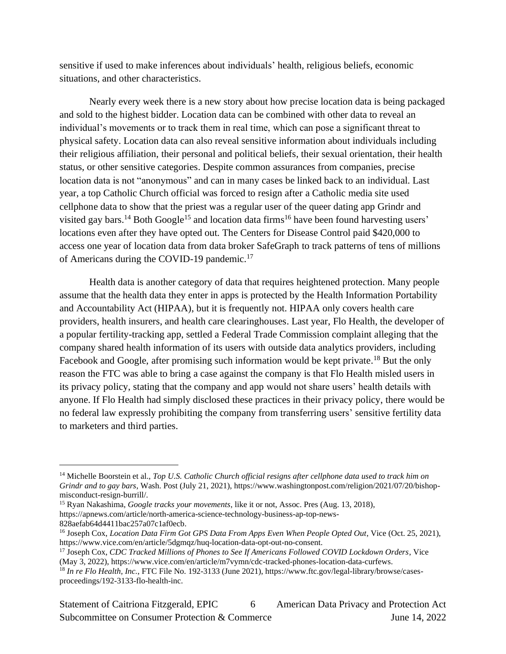sensitive if used to make inferences about individuals' health, religious beliefs, economic situations, and other characteristics.

Nearly every week there is a new story about how precise location data is being packaged and sold to the highest bidder. Location data can be combined with other data to reveal an individual's movements or to track them in real time, which can pose a significant threat to physical safety. Location data can also reveal sensitive information about individuals including their religious affiliation, their personal and political beliefs, their sexual orientation, their health status, or other sensitive categories. Despite common assurances from companies, precise location data is not "anonymous" and can in many cases be linked back to an individual. Last year, a top Catholic Church official was forced to resign after a Catholic media site used cellphone data to show that the priest was a regular user of the queer dating app Grindr and visited gay bars.<sup>14</sup> Both Google<sup>15</sup> and location data firms<sup>16</sup> have been found harvesting users' locations even after they have opted out. The Centers for Disease Control paid \$420,000 to access one year of location data from data broker SafeGraph to track patterns of tens of millions of Americans during the COVID-19 pandemic.<sup>17</sup>

Health data is another category of data that requires heightened protection. Many people assume that the health data they enter in apps is protected by the Health Information Portability and Accountability Act (HIPAA), but it is frequently not. HIPAA only covers health care providers, health insurers, and health care clearinghouses. Last year, Flo Health, the developer of a popular fertility-tracking app, settled a Federal Trade Commission complaint alleging that the company shared health information of its users with outside data analytics providers, including Facebook and Google, after promising such information would be kept private.<sup>18</sup> But the only reason the FTC was able to bring a case against the company is that Flo Health misled users in its privacy policy, stating that the company and app would not share users' health details with anyone. If Flo Health had simply disclosed these practices in their privacy policy, there would be no federal law expressly prohibiting the company from transferring users' sensitive fertility data to marketers and third parties.

<sup>14</sup> Michelle Boorstein et al., *Top U.S. Catholic Church official resigns after cellphone data used to track him on Grindr and to gay bars*, Wash. Post (July 21, 2021), [https://www.washingtonpost.com/religion/2021/07/20/bishop](https://www.washingtonpost.com/religion/2021/07/20/bishop-misconduct-resign-burrill/)[misconduct-resign-burrill/.](https://www.washingtonpost.com/religion/2021/07/20/bishop-misconduct-resign-burrill/)

<sup>15</sup> Ryan Nakashima, *Google tracks your movements*, like it or not, Assoc. Pres (Aug. 13, 2018),

[https://apnews.com/article/north-america-science-technology-business-ap-top-news-](https://apnews.com/article/north-america-science-technology-business-ap-top-news-828aefab64d4411bac257a07c1af0ecb)[828aefab64d4411bac257a07c1af0ecb.](https://apnews.com/article/north-america-science-technology-business-ap-top-news-828aefab64d4411bac257a07c1af0ecb)

<sup>16</sup> Joseph Cox, *Location Data Firm Got GPS Data From Apps Even When People Opted Out*, Vice (Oct. 25, 2021), [https://www.vice.com/en/article/5dgmqz/huq-location-data-opt-out-no-consent.](https://www.vice.com/en/article/5dgmqz/huq-location-data-opt-out-no-consent)

<sup>17</sup> Joseph Cox, *CDC Tracked Millions of Phones to See If Americans Followed COVID Lockdown Orders*, Vice (May 3, 2022)[, https://www.vice.com/en/article/m7vymn/cdc-tracked-phones-location-data-curfews.](https://www.vice.com/en/article/m7vymn/cdc-tracked-phones-location-data-curfews)

<sup>18</sup> *In re Flo Health, Inc.*, FTC File No. 192-3133 (June 2021), [https://www.ftc.gov/legal-library/browse/cases](https://www.ftc.gov/legal-library/browse/cases-proceedings/192-3133-flo-health-inc)[proceedings/192-3133-flo-health-inc.](https://www.ftc.gov/legal-library/browse/cases-proceedings/192-3133-flo-health-inc)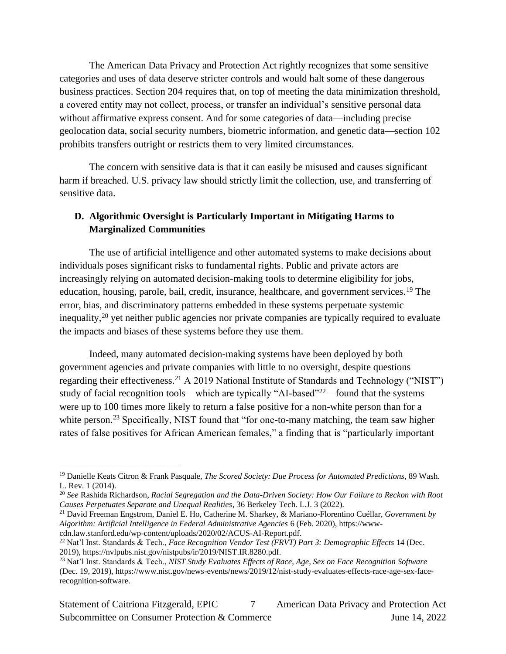The American Data Privacy and Protection Act rightly recognizes that some sensitive categories and uses of data deserve stricter controls and would halt some of these dangerous business practices. Section 204 requires that, on top of meeting the data minimization threshold, a covered entity may not collect, process, or transfer an individual's sensitive personal data without affirmative express consent. And for some categories of data—including precise geolocation data, social security numbers, biometric information, and genetic data—section 102 prohibits transfers outright or restricts them to very limited circumstances.

The concern with sensitive data is that it can easily be misused and causes significant harm if breached. U.S. privacy law should strictly limit the collection, use, and transferring of sensitive data.

## **D. Algorithmic Oversight is Particularly Important in Mitigating Harms to Marginalized Communities**

The use of artificial intelligence and other automated systems to make decisions about individuals poses significant risks to fundamental rights. Public and private actors are increasingly relying on automated decision-making tools to determine eligibility for jobs, education, housing, parole, bail, credit, insurance, healthcare, and government services.<sup>19</sup> The error, bias, and discriminatory patterns embedded in these systems perpetuate systemic inequality,<sup>20</sup> yet neither public agencies nor private companies are typically required to evaluate the impacts and biases of these systems before they use them.

Indeed, many automated decision-making systems have been deployed by both government agencies and private companies with little to no oversight, despite questions regarding their effectiveness.<sup>21</sup> A 2019 National Institute of Standards and Technology ("NIST") study of facial recognition tools—which are typically "AI-based"<sup>22</sup>—found that the systems were up to 100 times more likely to return a false positive for a non-white person than for a white person.<sup>23</sup> Specifically, NIST found that "for one-to-many matching, the team saw higher rates of false positives for African American females," a finding that is "particularly important

<sup>19</sup> Danielle Keats Citron & Frank Pasquale, *The Scored Society: Due Process for Automated Predictions*, 89 Wash. L. Rev. 1 (2014).

<sup>20</sup> *See* Rashida Richardson, *Racial Segregation and the Data-Driven Society: How Our Failure to Reckon with Root Causes Perpetuates Separate and Unequal Realities*, 36 Berkeley Tech. L.J. 3 (2022).

<sup>21</sup> David Freeman Engstrom, Daniel E. Ho, Catherine M. Sharkey, & Mariano-Florentino Cuéllar, *Government by Algorithm: Artificial Intelligence in Federal Administrative Agencies* 6 (Feb. 2020), [https://www](https://www-cdn.law.stanford.edu/wp-content/uploads/2020/02/ACUS-AI-Report.pdf)[cdn.law.stanford.edu/wp-content/uploads/2020/02/ACUS-AI-Report.pdf.](https://www-cdn.law.stanford.edu/wp-content/uploads/2020/02/ACUS-AI-Report.pdf)

<sup>22</sup> Nat'l Inst. Standards & Tech., *Face Recognition Vendor Test (FRVT) Part 3: Demographic Effects* 14 (Dec. 2019), [https://nvlpubs.nist.gov/nistpubs/ir/2019/NIST.IR.8280.pdf.](https://nvlpubs.nist.gov/nistpubs/ir/2019/NIST.IR.8280.pdf)

<sup>23</sup> Nat'l Inst. Standards & Tech., *NIST Study Evaluates Effects of Race, Age, Sex on Face Recognition Software* (Dec. 19, 2019), [https://www.nist.gov/news-events/news/2019/12/nist-study-evaluates-effects-race-age-sex-face](https://www.nist.gov/news-events/news/2019/12/nist-study-evaluates-effects-race-age-sex-face-recognition-software)[recognition-software.](https://www.nist.gov/news-events/news/2019/12/nist-study-evaluates-effects-race-age-sex-face-recognition-software)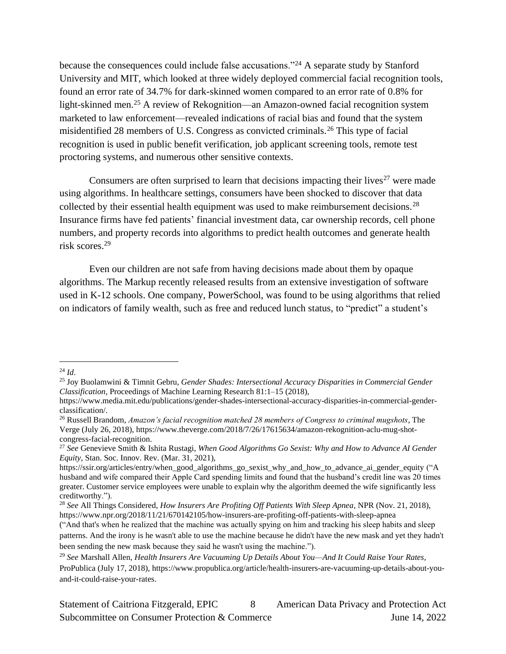because the consequences could include false accusations."<sup>24</sup> A separate study by Stanford University and MIT, which looked at three widely deployed commercial facial recognition tools, found an error rate of 34.7% for dark-skinned women compared to an error rate of 0.8% for light-skinned men.<sup>25</sup> A review of Rekognition—an Amazon-owned facial recognition system marketed to law enforcement—revealed indications of racial bias and found that the system misidentified 28 members of U.S. Congress as convicted criminals.<sup>26</sup> This type of facial recognition is used in public benefit verification, job applicant screening tools, remote test proctoring systems, and numerous other sensitive contexts.

Consumers are often surprised to learn that decisions impacting their lives<sup>27</sup> were made using algorithms. In healthcare settings, consumers have been shocked to discover that data collected by their essential health equipment was used to make reimbursement decisions.<sup>28</sup> Insurance firms have fed patients' financial investment data, car ownership records, cell phone numbers, and property records into algorithms to predict health outcomes and generate health risk scores.<sup>29</sup>

Even our children are not safe from having decisions made about them by opaque algorithms. The Markup recently released results from an extensive investigation of software used in K-12 schools. One company, PowerSchool, was found to be using algorithms that relied on indicators of family wealth, such as free and reduced lunch status, to "predict" a student's

<sup>24</sup> *Id*.

<sup>25</sup> Joy Buolamwini & Timnit Gebru, *Gender Shades: Intersectional Accuracy Disparities in Commercial Gender Classification,* Proceedings of Machine Learning Research 81:1–15 (2018),

[https://www.media.mit.edu/publications/gender-shades-intersectional-accuracy-disparities-in-commercial-gender](https://www.media.mit.edu/publications/gender-shades-intersectional-accuracy-disparities-in-commercial-gender-classification/)[classification/.](https://www.media.mit.edu/publications/gender-shades-intersectional-accuracy-disparities-in-commercial-gender-classification/)

<sup>26</sup> Russell Brandom, *Amazon's facial recognition matched 28 members of Congress to criminal mugshots*, The Verge (July 26, 2018), [https://www.theverge.com/2018/7/26/17615634/amazon-rekognition-aclu-mug-shot](https://www.theverge.com/2018/7/26/17615634/amazon-rekognition-aclu-mug-shot-congress-facial-recognition)[congress-facial-recognition.](https://www.theverge.com/2018/7/26/17615634/amazon-rekognition-aclu-mug-shot-congress-facial-recognition)

<sup>27</sup> *See* Genevieve Smith & Ishita Rustagi, *When Good Algorithms Go Sexist: Why and How to Advance AI Gender Equity*, Stan. Soc. Innov. Rev. (Mar. 31, 2021),

[https://ssir.org/articles/entry/when\\_good\\_algorithms\\_go\\_sexist\\_why\\_and\\_how\\_to\\_advance\\_ai\\_gender\\_equity](https://ssir.org/articles/entry/when_good_algorithms_go_sexist_why_and_how_to_advance_ai_gender_equity) ("A husband and wife compared their Apple Card spending limits and found that the husband's credit line was 20 times greater. Customer service employees were unable to explain why the algorithm deemed the wife significantly less creditworthy.").

<sup>28</sup> *See* All Things Considered, *How Insurers Are Profiting Off Patients With Sleep Apnea*, NPR (Nov. 21, 2018), <https://www.npr.org/2018/11/21/670142105/how-insurers-are-profiting-off-patients-with-sleep-apnea>

<sup>(&</sup>quot;And that's when he realized that the machine was actually spying on him and tracking his sleep habits and sleep patterns. And the irony is he wasn't able to use the machine because he didn't have the new mask and yet they hadn't been sending the new mask because they said he wasn't using the machine.").

<sup>29</sup> *See* Marshall Allen, *Health Insurers Are Vacuuming Up Details About You—And It Could Raise Your Rates*, ProPublica (July 17, 2018), [https://www.propublica.org/article/health-insurers-are-vacuuming-up-details-about-you](https://www.propublica.org/article/health-insurers-are-vacuuming-up-details-about-you-and-it-could-raise-your-rates)[and-it-could-raise-your-rates.](https://www.propublica.org/article/health-insurers-are-vacuuming-up-details-about-you-and-it-could-raise-your-rates)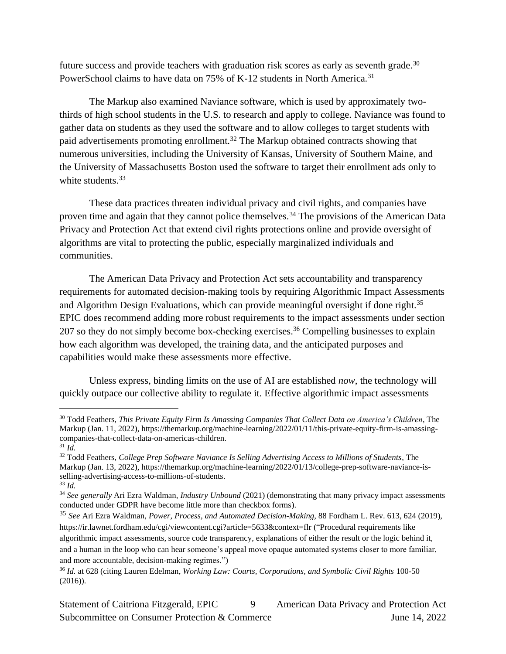future success and provide teachers with graduation risk scores as early as seventh grade.<sup>30</sup> PowerSchool claims to have data on 75% of K-12 students in North America.<sup>31</sup>

The Markup also examined Naviance software, which is used by approximately twothirds of high school students in the U.S. to research and apply to college. Naviance was found to gather data on students as they used the software and to allow colleges to target students with paid advertisements promoting enrollment.<sup>32</sup> The Markup obtained contracts showing that numerous universities, including the University of Kansas, University of Southern Maine, and the University of Massachusetts Boston used the software to target their enrollment ads only to white students.<sup>33</sup>

These data practices threaten individual privacy and civil rights, and companies have proven time and again that they cannot police themselves.<sup>34</sup> The provisions of the American Data Privacy and Protection Act that extend civil rights protections online and provide oversight of algorithms are vital to protecting the public, especially marginalized individuals and communities.

The American Data Privacy and Protection Act sets accountability and transparency requirements for automated decision-making tools by requiring Algorithmic Impact Assessments and Algorithm Design Evaluations, which can provide meaningful oversight if done right.<sup>35</sup> EPIC does recommend adding more robust requirements to the impact assessments under section 207 so they do not simply become box-checking exercises. <sup>36</sup> Compelling businesses to explain how each algorithm was developed, the training data, and the anticipated purposes and capabilities would make these assessments more effective.

Unless express, binding limits on the use of AI are established *now*, the technology will quickly outpace our collective ability to regulate it. Effective algorithmic impact assessments

<sup>30</sup> Todd Feathers, *This Private Equity Firm Is Amassing Companies That Collect Data on America's Children*, The Markup (Jan. 11, 2022), [https://themarkup.org/machine-learning/2022/01/11/this-private-equity-firm-is-amassing](https://themarkup.org/machine-learning/2022/01/11/this-private-equity-firm-is-amassing-companies-that-collect-data-on-americas-children)[companies-that-collect-data-on-americas-children.](https://themarkup.org/machine-learning/2022/01/11/this-private-equity-firm-is-amassing-companies-that-collect-data-on-americas-children)

<sup>31</sup> *Id.*

<sup>32</sup> Todd Feathers, *College Prep Software Naviance Is Selling Advertising Access to Millions of Students*, The Markup (Jan. 13, 2022), [https://themarkup.org/machine-learning/2022/01/13/college-prep-software-naviance-is](https://themarkup.org/machine-learning/2022/01/13/college-prep-software-naviance-is-selling-advertising-access-to-millions-of-students)[selling-advertising-access-to-millions-of-students.](https://themarkup.org/machine-learning/2022/01/13/college-prep-software-naviance-is-selling-advertising-access-to-millions-of-students) 

<sup>33</sup> *Id.*

<sup>34</sup> *See generally* Ari Ezra Waldman, *Industry Unbound* (2021) (demonstrating that many privacy impact assessments conducted under GDPR have become little more than checkbox forms).

<sup>35</sup> *See* Ari Ezra Waldman, *Power, Process, and Automated Decision-Making*, 88 Fordham L. Rev. 613, 624 (2019), <https://ir.lawnet.fordham.edu/cgi/viewcontent.cgi?article=5633&context=flr> ("Procedural requirements like algorithmic impact assessments, source code transparency, explanations of either the result or the logic behind it, and a human in the loop who can hear someone's appeal move opaque automated systems closer to more familiar, and more accountable, decision-making regimes.")

<sup>36</sup> *Id.* at 628 (citing Lauren Edelman, *Working Law: Courts, Corporations, and Symbolic Civil Rights* 100-50 (2016)).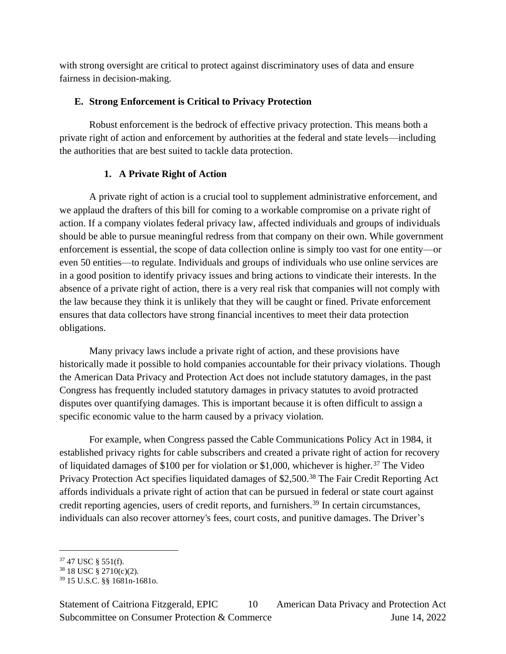with strong oversight are critical to protect against discriminatory uses of data and ensure fairness in decision-making.

## **E. Strong Enforcement is Critical to Privacy Protection**

Robust enforcement is the bedrock of effective privacy protection. This means both a private right of action and enforcement by authorities at the federal and state levels—including the authorities that are best suited to tackle data protection.

# **1. A Private Right of Action**

A private right of action is a crucial tool to supplement administrative enforcement, and we applaud the drafters of this bill for coming to a workable compromise on a private right of action. If a company violates federal privacy law, affected individuals and groups of individuals should be able to pursue meaningful redress from that company on their own. While government enforcement is essential, the scope of data collection online is simply too vast for one entity—or even 50 entities—to regulate. Individuals and groups of individuals who use online services are in a good position to identify privacy issues and bring actions to vindicate their interests. In the absence of a private right of action, there is a very real risk that companies will not comply with the law because they think it is unlikely that they will be caught or fined. Private enforcement ensures that data collectors have strong financial incentives to meet their data protection obligations.

Many privacy laws include a private right of action, and these provisions have historically made it possible to hold companies accountable for their privacy violations. Though the American Data Privacy and Protection Act does not include statutory damages, in the past Congress has frequently included statutory damages in privacy statutes to avoid protracted disputes over quantifying damages. This is important because it is often difficult to assign a specific economic value to the harm caused by a privacy violation.

For example, when Congress passed the Cable Communications Policy Act in 1984, it established privacy rights for cable subscribers and created a private right of action for recovery of liquidated damages of \$100 per for violation or \$1,000, whichever is higher.<sup>37</sup> The Video Privacy Protection Act specifies liquidated damages of \$2,500.<sup>38</sup> The Fair Credit Reporting Act affords individuals a private right of action that can be pursued in federal or state court against credit reporting agencies, users of credit reports, and furnishers.<sup>39</sup> In certain circumstances, individuals can also recover attorney's fees, court costs, and punitive damages. The Driver's

 $37$  47 USC § 551(f).

<sup>38</sup> 18 USC § 2710(c)(2).

<sup>39</sup> 15 U.S.C. §§ 1681n-1681o.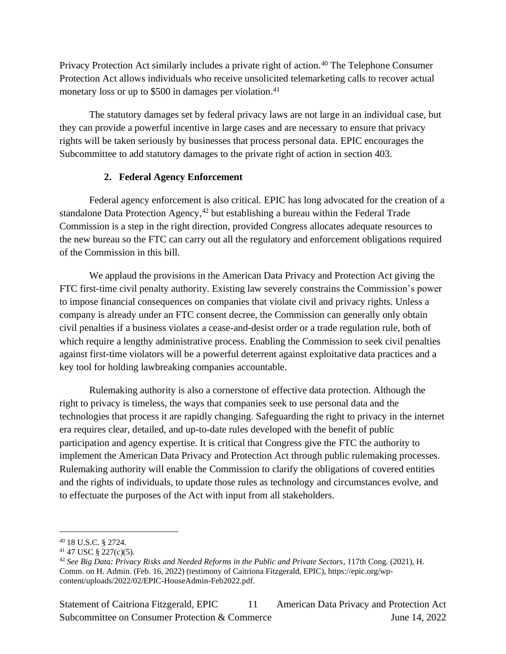Privacy Protection Act similarly includes a private right of action.<sup>40</sup> The Telephone Consumer Protection Act allows individuals who receive unsolicited telemarketing calls to recover actual monetary loss or up to \$500 in damages per violation.<sup>41</sup>

The statutory damages set by federal privacy laws are not large in an individual case, but they can provide a powerful incentive in large cases and are necessary to ensure that privacy rights will be taken seriously by businesses that process personal data. EPIC encourages the Subcommittee to add statutory damages to the private right of action in section 403.

## **2. Federal Agency Enforcement**

Federal agency enforcement is also critical. EPIC has long advocated for the creation of a standalone Data Protection Agency,<sup>42</sup> but establishing a bureau within the Federal Trade Commission is a step in the right direction, provided Congress allocates adequate resources to the new bureau so the FTC can carry out all the regulatory and enforcement obligations required of the Commission in this bill.

We applaud the provisions in the American Data Privacy and Protection Act giving the FTC first-time civil penalty authority. Existing law severely constrains the Commission's power to impose financial consequences on companies that violate civil and privacy rights. Unless a company is already under an FTC consent decree, the Commission can generally only obtain civil penalties if a business violates a cease-and-desist order or a trade regulation rule, both of which require a lengthy administrative process. Enabling the Commission to seek civil penalties against first-time violators will be a powerful deterrent against exploitative data practices and a key tool for holding lawbreaking companies accountable.

Rulemaking authority is also a cornerstone of effective data protection. Although the right to privacy is timeless, the ways that companies seek to use personal data and the technologies that process it are rapidly changing. Safeguarding the right to privacy in the internet era requires clear, detailed, and up-to-date rules developed with the benefit of public participation and agency expertise. It is critical that Congress give the FTC the authority to implement the American Data Privacy and Protection Act through public rulemaking processes. Rulemaking authority will enable the Commission to clarify the obligations of covered entities and the rights of individuals, to update those rules as technology and circumstances evolve, and to effectuate the purposes of the Act with input from all stakeholders.

Statement of Caitriona Fitzgerald, EPIC 11 American Data Privacy and Protection Act Subcommittee on Consumer Protection & Commerce June 14, 2022 11

<sup>40</sup> 18 U.S.C. § 2724.

 $41$  47 USC § 227(c)(5).

<sup>42</sup> *See Big Data: Privacy Risks and Needed Reforms in the Public and Private Sectors*, 117th Cong. (2021), H. Comm. on H. Admin. (Feb. 16, 2022) (testimony of Caitriona Fitzgerald, EPIC), [https://epic.org/wp](https://epic.org/wp-content/uploads/2022/02/EPIC-HouseAdmin-Feb2022.pdf)[content/uploads/2022/02/EPIC-HouseAdmin-Feb2022.pdf.](https://epic.org/wp-content/uploads/2022/02/EPIC-HouseAdmin-Feb2022.pdf)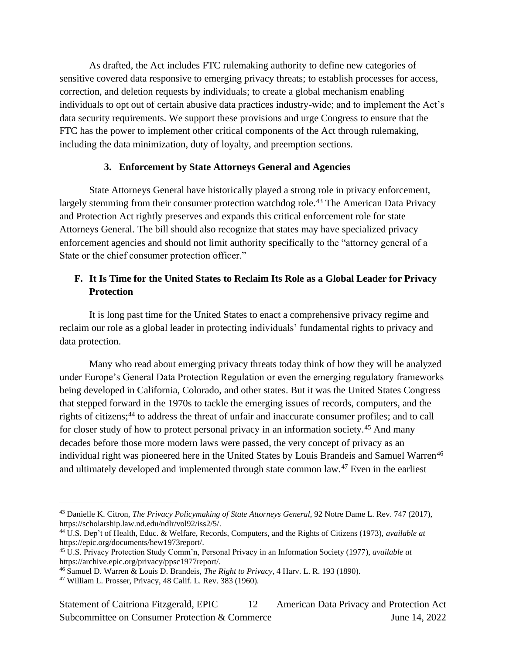As drafted, the Act includes FTC rulemaking authority to define new categories of sensitive covered data responsive to emerging privacy threats; to establish processes for access, correction, and deletion requests by individuals; to create a global mechanism enabling individuals to opt out of certain abusive data practices industry-wide; and to implement the Act's data security requirements. We support these provisions and urge Congress to ensure that the FTC has the power to implement other critical components of the Act through rulemaking, including the data minimization, duty of loyalty, and preemption sections.

#### **3. Enforcement by State Attorneys General and Agencies**

State Attorneys General have historically played a strong role in privacy enforcement, largely stemming from their consumer protection watchdog role.<sup>43</sup> The American Data Privacy and Protection Act rightly preserves and expands this critical enforcement role for state Attorneys General. The bill should also recognize that states may have specialized privacy enforcement agencies and should not limit authority specifically to the "attorney general of a State or the chief consumer protection officer."

## **F. It Is Time for the United States to Reclaim Its Role as a Global Leader for Privacy Protection**

It is long past time for the United States to enact a comprehensive privacy regime and reclaim our role as a global leader in protecting individuals' fundamental rights to privacy and data protection.

Many who read about emerging privacy threats today think of how they will be analyzed under Europe's General Data Protection Regulation or even the emerging regulatory frameworks being developed in California, Colorado, and other states. But it was the United States Congress that stepped forward in the 1970s to tackle the emerging issues of records, computers, and the rights of citizens;<sup>44</sup> to address the threat of unfair and inaccurate consumer profiles; and to call for closer study of how to protect personal privacy in an information society.<sup>45</sup> And many decades before those more modern laws were passed, the very concept of privacy as an individual right was pioneered here in the United States by Louis Brandeis and Samuel Warren<sup>46</sup> and ultimately developed and implemented through state common law.<sup>47</sup> Even in the earliest

<sup>43</sup> Danielle K. Citron, *The Privacy Policymaking of State Attorneys General*, 92 Notre Dame L. Rev. 747 (2017), [https://scholarship.law.nd.edu/ndlr/vol92/iss2/5/.](https://scholarship.law.nd.edu/ndlr/vol92/iss2/5/)

<sup>44</sup> U.S. Dep't of Health, Educ. & Welfare, Records, Computers, and the Rights of Citizens (1973), *available at*  [https://epic.org/documents/hew1973report/.](https://epic.org/documents/hew1973report/)

<sup>45</sup> U.S. Privacy Protection Study Comm'n, Personal Privacy in an Information Society (1977), *available at* [https://archive.epic.org/privacy/ppsc1977report/.](https://archive.epic.org/privacy/ppsc1977report/)

<sup>46</sup> Samuel D. Warren & Louis D. Brandeis, *The Right to Privacy*, 4 Harv. L. R. 193 (1890).

<sup>47</sup> William L. Prosser, Privacy, 48 Calif. L. Rev. 383 (1960).